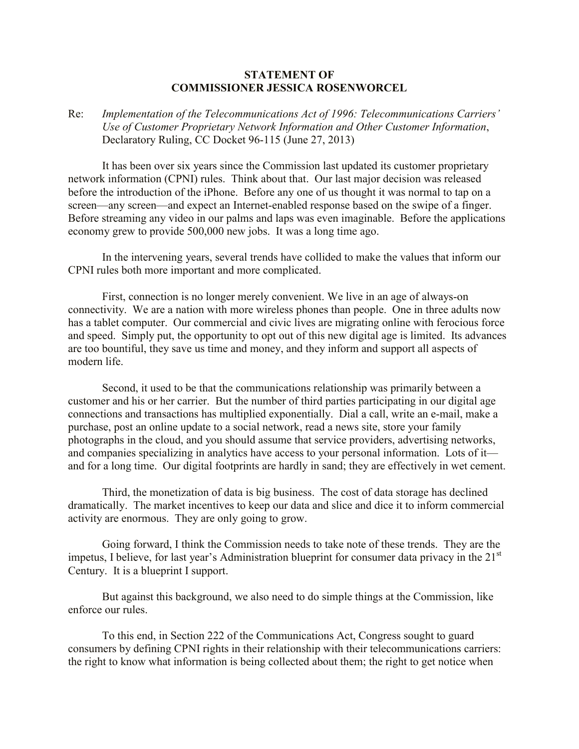## **STATEMENT OF COMMISSIONER JESSICA ROSENWORCEL**

## Re: *Implementation of the Telecommunications Act of 1996: Telecommunications Carriers' Use of Customer Proprietary Network Information and Other Customer Information*, Declaratory Ruling, CC Docket 96-115 (June 27, 2013)

It has been over six years since the Commission last updated its customer proprietary network information (CPNI) rules. Think about that. Our last major decision was released before the introduction of the iPhone. Before any one of us thought it was normal to tap on a screen—any screen—and expect an Internet-enabled response based on the swipe of a finger. Before streaming any video in our palms and laps was even imaginable. Before the applications economy grew to provide 500,000 new jobs. It was a long time ago.

In the intervening years, several trends have collided to make the values that inform our CPNI rules both more important and more complicated.

First, connection is no longer merely convenient. We live in an age of always-on connectivity. We are a nation with more wireless phones than people. One in three adults now has a tablet computer. Our commercial and civic lives are migrating online with ferocious force and speed. Simply put, the opportunity to opt out of this new digital age is limited. Its advances are too bountiful, they save us time and money, and they inform and support all aspects of modern life.

Second, it used to be that the communications relationship was primarily between a customer and his or her carrier. But the number of third parties participating in our digital age connections and transactions has multiplied exponentially. Dial a call, write an e-mail, make a purchase, post an online update to a social network, read a news site, store your family photographs in the cloud, and you should assume that service providers, advertising networks, and companies specializing in analytics have access to your personal information. Lots of it and for a long time. Our digital footprints are hardly in sand; they are effectively in wet cement.

Third, the monetization of data is big business. The cost of data storage has declined dramatically. The market incentives to keep our data and slice and dice it to inform commercial activity are enormous. They are only going to grow.

Going forward, I think the Commission needs to take note of these trends. They are the impetus, I believe, for last year's Administration blueprint for consumer data privacy in the 21<sup>st</sup> Century. It is a blueprint I support.

But against this background, we also need to do simple things at the Commission, like enforce our rules.

To this end, in Section 222 of the Communications Act, Congress sought to guard consumers by defining CPNI rights in their relationship with their telecommunications carriers: the right to know what information is being collected about them; the right to get notice when